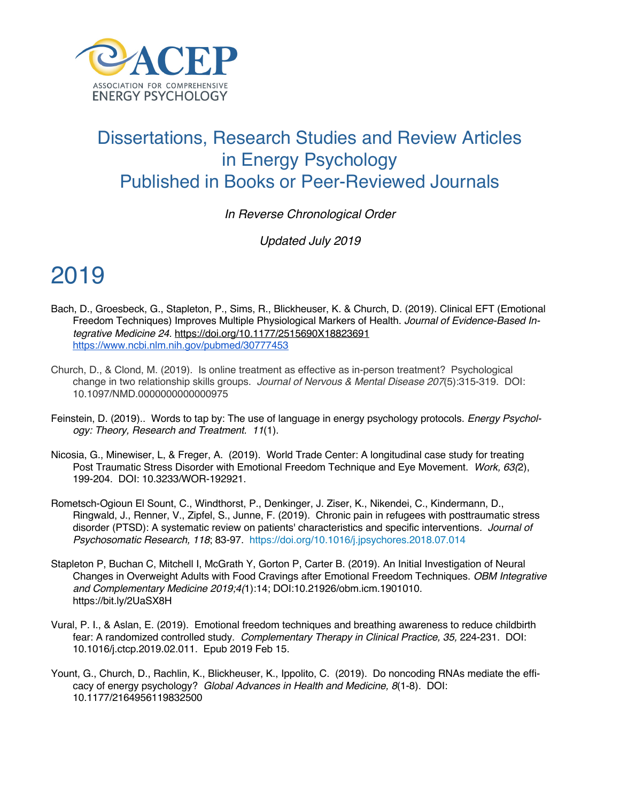

#### Dissertations, Research Studies and Review Articles in Energy Psychology Published in Books or Peer-Reviewed Journals

*In Reverse Chronological Order*

*Updated July 2019*

- Bach, D., Groesbeck, G., Stapleton, P., Sims, R., Blickheuser, K. & Church, D. (2019). Clinical EFT (Emotional Freedom Techniques) Improves Multiple Physiological Markers of Health. *Journal of Evidence-Based Integrative Medicine 24.* https://doi.org/10.1177/2515690X18823691 https://www.ncbi.nlm.nih.gov/pubmed/30777453
- Church, D., & Clond, M. (2019). Is online treatment as effective as in-person treatment? Psychological change in two relationship skills groups. *Journal of Nervous & Mental Disease 207*(5):315-319. DOI: 10.1097/NMD.0000000000000975
- Feinstein, D. (2019).. Words to tap by: The use of language in energy psychology protocols. *Energy Psychology: Theory, Research and Treatment. 11*(1).
- Nicosia, G., Minewiser, L, & Freger, A. (2019). World Trade Center: A longitudinal case study for treating Post Traumatic Stress Disorder with Emotional Freedom Technique and Eye Movement. *Work, 63(*2), 199-204. DOI: 10.3233/WOR-192921.
- Rometsch-Ogioun El Sount, C., Windthorst, P., Denkinger, J. Ziser, K., Nikendei, C., Kindermann, D., Ringwald, J., Renner, V., Zipfel, S., Junne, F. (2019). Chronic pain in refugees with posttraumatic stress disorder (PTSD): A systematic review on patients' characteristics and specific interventions*. Journal of Psychosomatic Research, 118*; 83-97. https://doi.org/10.1016/j.jpsychores.2018.07.014
- Stapleton P, Buchan C, Mitchell I, McGrath Y, Gorton P, Carter B. (2019). An Initial Investigation of Neural Changes in Overweight Adults with Food Cravings after Emotional Freedom Techniques. *OBM Integrative and Complementary Medicine 2019;4(*1):14; DOI:10.21926/obm.icm.1901010. https://bit.ly/2UaSX8H
- Vural, P. I., & Aslan, E. (2019). Emotional freedom techniques and breathing awareness to reduce childbirth fear: A randomized controlled study. *Complementary Therapy in Clinical Practice, 35,* 224-231. DOI: 10.1016/j.ctcp.2019.02.011. Epub 2019 Feb 15.
- Yount, G., Church, D., Rachlin, K., Blickheuser, K., Ippolito, C. (2019). Do noncoding RNAs mediate the efficacy of energy psychology? *Global Advances in Health and Medicine, 8*(1-8). DOI: 10.1177/2164956119832500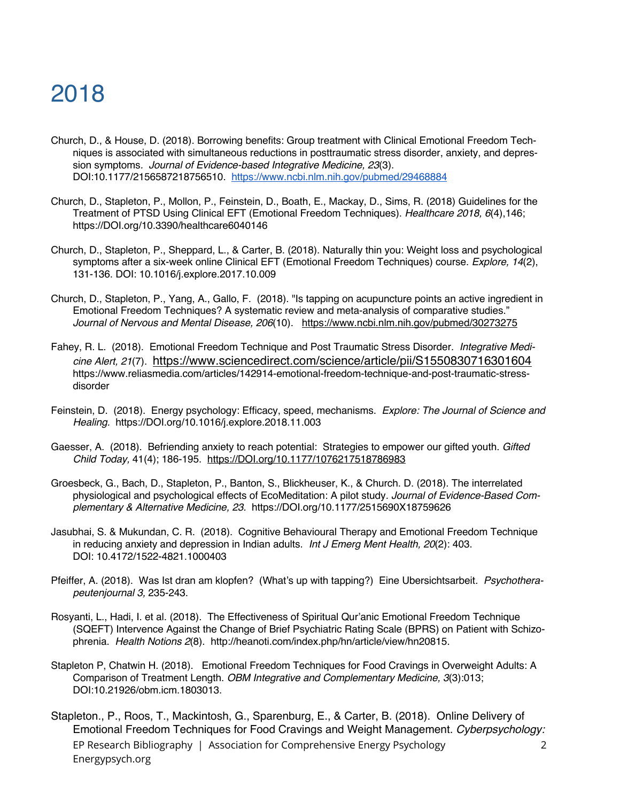- Church, D., & House, D. (2018). Borrowing benefits: Group treatment with Clinical Emotional Freedom Techniques is associated with simultaneous reductions in posttraumatic stress disorder, anxiety, and depression symptoms*. Journal of Evidence-based Integrative Medicine, 23*(3). DOI:10.1177/2156587218756510. https://www.ncbi.nlm.nih.gov/pubmed/29468884
- Church, D., Stapleton, P., Mollon, P., Feinstein, D., Boath, E., Mackay, D., Sims, R. (2018) Guidelines for the Treatment of PTSD Using Clinical EFT (Emotional Freedom Techniques). *Healthcare 2018, 6*(4),146; https://DOI.org/10.3390/healthcare6040146
- Church, D., Stapleton, P., Sheppard, L., & Carter, B. (2018). Naturally thin you: Weight loss and psychological symptoms after a six-week online Clinical EFT (Emotional Freedom Techniques) course. *Explore, 14*(2), 131-136. DOI: 10.1016/j.explore.2017.10.009
- Church, D., Stapleton, P., Yang, A., Gallo, F. (2018). "Is tapping on acupuncture points an active ingredient in Emotional Freedom Techniques? A systematic review and meta-analysis of comparative studies." *Journal of Nervous and Mental Disease, 206*(10). https://www.ncbi.nlm.nih.gov/pubmed/30273275
- Fahey, R. L. (2018). Emotional Freedom Technique and Post Traumatic Stress Disorder*. Integrative Medicine Alert, 21*(7). https://www.sciencedirect.com/science/article/pii/S1550830716301604 https://www.reliasmedia.com/articles/142914-emotional-freedom-technique-and-post-traumatic-stressdisorder
- Feinstein, D. (2018). Energy psychology: Efficacy, speed, mechanisms. *Explore: The Journal of Science and Healing.* https://DOI.org/10.1016/j.explore.2018.11.003
- Gaesser, A. (2018). Befriending anxiety to reach potential: Strategies to empower our gifted youth. *Gifted Child Today,* 41(4); 186-195. https://DOI.org/10.1177/1076217518786983
- Groesbeck, G., Bach, D., Stapleton, P., Banton, S., Blickheuser, K., & Church. D. (2018). The interrelated physiological and psychological effects of EcoMeditation: A pilot study*. Journal of Evidence-Based Complementary & Alternative Medicine, 23.* https://DOI.org/10.1177/2515690X18759626
- Jasubhai, S. & Mukundan, C. R. (2018). Cognitive Behavioural Therapy and Emotional Freedom Technique in reducing anxiety and depression in Indian adults. *Int J Emerg Ment Health, 20*(2): 403. DOI: 10.4172/1522-4821.1000403
- Pfeiffer, A. (2018). Was Ist dran am klopfen? (What's up with tapping?) Eine Ubersichtsarbeit*. Psychotherapeutenjournal 3,* 235-243.
- Rosyanti, L., Hadi, I. et al. (2018). The Effectiveness of Spiritual Qur'anic Emotional Freedom Technique (SQEFT) Intervence Against the Change of Brief Psychiatric Rating Scale (BPRS) on Patient with Schizophrenia. *Health Notions 2*(8). http://heanoti.com/index.php/hn/article/view/hn20815.
- Stapleton P, Chatwin H. (2018). Emotional Freedom Techniques for Food Cravings in Overweight Adults: A Comparison of Treatment Length. *OBM Integrative and Complementary Medicine, 3*(3):013; DOI:10.21926/obm.icm.1803013.
- EP Research Bibliography | Association for Comprehensive Energy Psychology Energypsych.org 2 Stapleton., P., Roos, T., Mackintosh, G., Sparenburg, E., & Carter, B. (2018). Online Delivery of Emotional Freedom Techniques for Food Cravings and Weight Management. *Cyberpsychology:*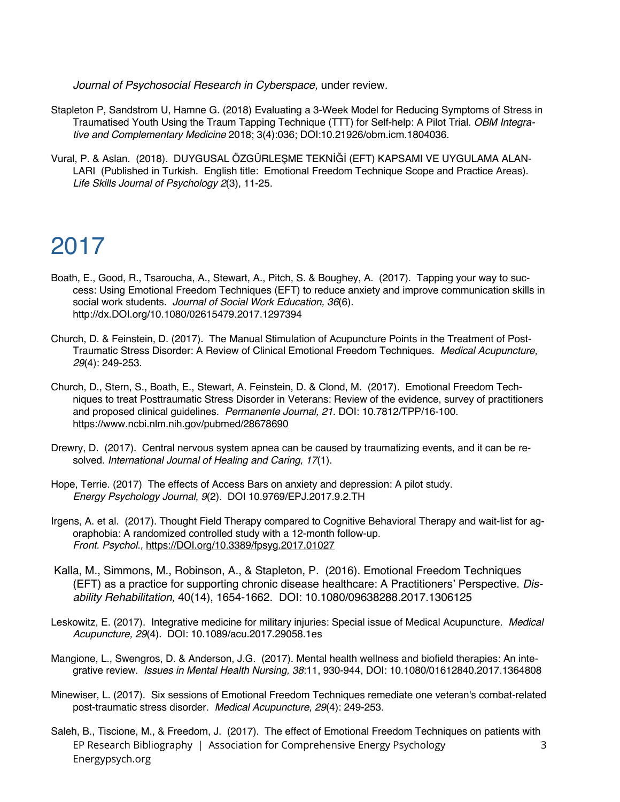*Journal of Psychosocial Research in Cyberspace,* under review.

- Stapleton P, Sandstrom U, Hamne G. (2018) Evaluating a 3-Week Model for Reducing Symptoms of Stress in Traumatised Youth Using the Traum Tapping Technique (TTT) for Self-help: A Pilot Trial. *OBM Integrative and Complementary Medicine* 2018; 3(4):036; DOI:10.21926/obm.icm.1804036.
- Vural, P. & Aslan. (2018). DUYGUSAL ÖZGÜRLEŞME TEKNİĞİ (EFT) KAPSAMI VE UYGULAMA ALAN-LARI (Published in Turkish. English title: Emotional Freedom Technique Scope and Practice Areas). *Life Skills Journal of Psychology 2*(3), 11-25.

- Boath, E., Good, R., Tsaroucha, A., Stewart, A., Pitch, S. & Boughey, A. (2017). Tapping your way to success: Using Emotional Freedom Techniques (EFT) to reduce anxiety and improve communication skills in social work students. *Journal of Social Work Education, 36*(6). http://dx.DOI.org/10.1080/02615479.2017.1297394
- Church, D. & Feinstein, D. (2017). The Manual Stimulation of Acupuncture Points in the Treatment of Post-Traumatic Stress Disorder: A Review of Clinical Emotional Freedom Techniques. *Medical Acupuncture, 29*(4): 249-253.
- Church, D., Stern, S., Boath, E., Stewart, A. Feinstein, D. & Clond, M. (2017). Emotional Freedom Techniques to treat Posttraumatic Stress Disorder in Veterans: Review of the evidence, survey of practitioners and proposed clinical guidelines. *Permanente Journal, 21*. DOI: 10.7812/TPP/16-100. https://www.ncbi.nlm.nih.gov/pubmed/28678690
- Drewry, D. (2017). Central nervous system apnea can be caused by traumatizing events, and it can be resolved. *International Journal of Healing and Caring, 17*(1).
- Hope, Terrie. (2017) The effects of Access Bars on anxiety and depression: A pilot study. *Energy Psychology Journal, 9*(2). DOI 10.9769/EPJ.2017.9.2.TH
- Irgens, A. et al. (2017). Thought Field Therapy compared to Cognitive Behavioral Therapy and wait-list for agoraphobia: A randomized controlled study with a 12-month follow-up. *Front. Psychol.,* https://DOI.org/10.3389/fpsyg.2017.01027
- Kalla, M., Simmons, M., Robinson, A., & Stapleton, P. (2016). Emotional Freedom Techniques (EFT) as a practice for supporting chronic disease healthcare: A Practitioners' Perspective. *Disability Rehabilitation,* 40(14), 1654-1662. DOI: 10.1080/09638288.2017.1306125
- Leskowitz, E. (2017). Integrative medicine for military injuries: Special issue of Medical Acupuncture. *Medical Acupuncture, 29*(4). DOI: 10.1089/acu.2017.29058.1es
- Mangione, L., Swengros, D. & Anderson, J.G. (2017). Mental health wellness and biofield therapies: An integrative review. *Issues in Mental Health Nursing, 38*:11, 930-944, DOI: 10.1080/01612840.2017.1364808
- Minewiser, L. (2017). Six sessions of Emotional Freedom Techniques remediate one veteran's combat-related post-traumatic stress disorder. *Medical Acupuncture, 29*(4): 249-253.
- EP Research Bibliography | Association for Comprehensive Energy Psychology Energypsych.org 3 Saleh, B., Tiscione, M., & Freedom, J. (2017). The effect of Emotional Freedom Techniques on patients with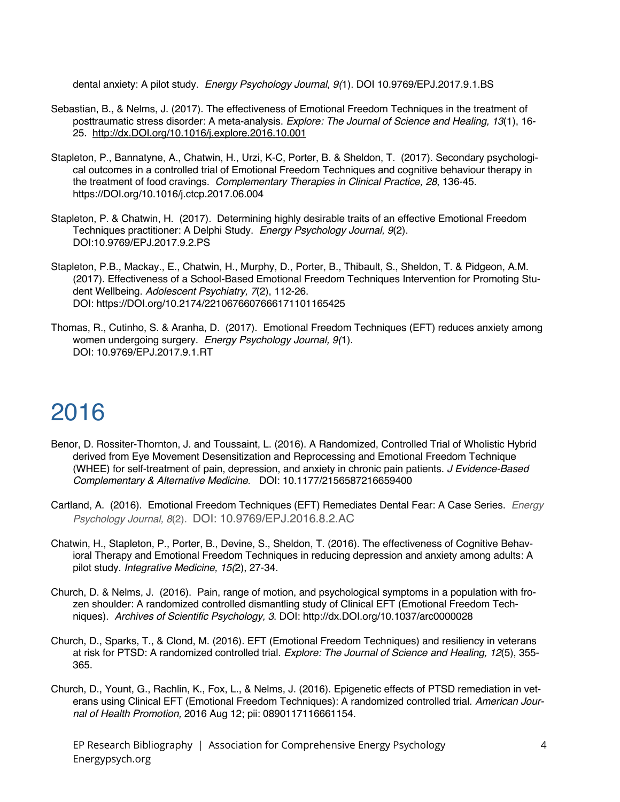dental anxiety: A pilot study. *Energy Psychology Journal, 9(*1). DOI 10.9769/EPJ.2017.9.1.BS

- Sebastian, B., & Nelms, J. (2017). The effectiveness of Emotional Freedom Techniques in the treatment of posttraumatic stress disorder: A meta-analysis. *Explore: The Journal of Science and Healing, 13*(1), 16- 25. http://dx.DOI.org/10.1016/j.explore.2016.10.001
- Stapleton, P., Bannatyne, A., Chatwin, H., Urzi, K-C, Porter, B. & Sheldon, T. (2017). Secondary psychological outcomes in a controlled trial of Emotional Freedom Techniques and cognitive behaviour therapy in the treatment of food cravings. *Complementary Therapies in Clinical Practice, 28*, 136-45. https://DOI.org/10.1016/j.ctcp.2017.06.004
- Stapleton, P. & Chatwin, H. (2017). Determining highly desirable traits of an effective Emotional Freedom Techniques practitioner: A Delphi Study. *Energy Psychology Journal, 9*(2). DOI:10.9769/EPJ.2017.9.2.PS
- Stapleton, P.B., Mackay., E., Chatwin, H., Murphy, D., Porter, B., Thibault, S., Sheldon, T. & Pidgeon, A.M. (2017). Effectiveness of a School-Based Emotional Freedom Techniques Intervention for Promoting Student Wellbeing. *Adolescent Psychiatry, 7*(2), 112-26. DOI: https://DOI.org/10.2174/2210676607666171101165425
- Thomas, R., Cutinho, S. & Aranha, D. (2017). Emotional Freedom Techniques (EFT) reduces anxiety among women undergoing surgery. *Energy Psychology Journal, 9(*1). DOI: 10.9769/EPJ.2017.9.1.RT

# 2016

- Benor, D. Rossiter-Thornton, J. and Toussaint, L. (2016). A Randomized, Controlled Trial of Wholistic Hybrid derived from Eye Movement Desensitization and Reprocessing and Emotional Freedom Technique (WHEE) for self-treatment of pain, depression, and anxiety in chronic pain patients. *J Evidence-Based Complementary & Alternative Medicine*. DOI: 10.1177/2156587216659400
- Cartland, A. (2016). Emotional Freedom Techniques (EFT) Remediates Dental Fear: A Case Series. *Energy Psychology Journal, 8*(2). DOI: 10.9769/EPJ.2016.8.2.AC
- Chatwin, H., Stapleton, P., Porter, B., Devine, S., Sheldon, T. (2016). The effectiveness of Cognitive Behavioral Therapy and Emotional Freedom Techniques in reducing depression and anxiety among adults: A pilot study. *Integrative Medicine, 15(*2), 27-34.
- Church, D. & Nelms, J. (2016). Pain, range of motion, and psychological symptoms in a population with frozen shoulder: A randomized controlled dismantling study of Clinical EFT (Emotional Freedom Techniques). *Archives of Scientific Psychology, 3*. DOI: http://dx.DOI.org/10.1037/arc0000028
- Church, D., Sparks, T., & Clond, M. (2016). EFT (Emotional Freedom Techniques) and resiliency in veterans at risk for PTSD: A randomized controlled trial. *Explore: The Journal of Science and Healing, 12*(5), 355- 365.
- Church, D., Yount, G., Rachlin, K., Fox, L., & Nelms, J. (2016). Epigenetic effects of PTSD remediation in veterans using Clinical EFT (Emotional Freedom Techniques): A randomized controlled trial. *American Journal of Health Promotion,* 2016 Aug 12; pii: 0890117116661154.

EP Research Bibliography | Association for Comprehensive Energy Psychology Energypsych.org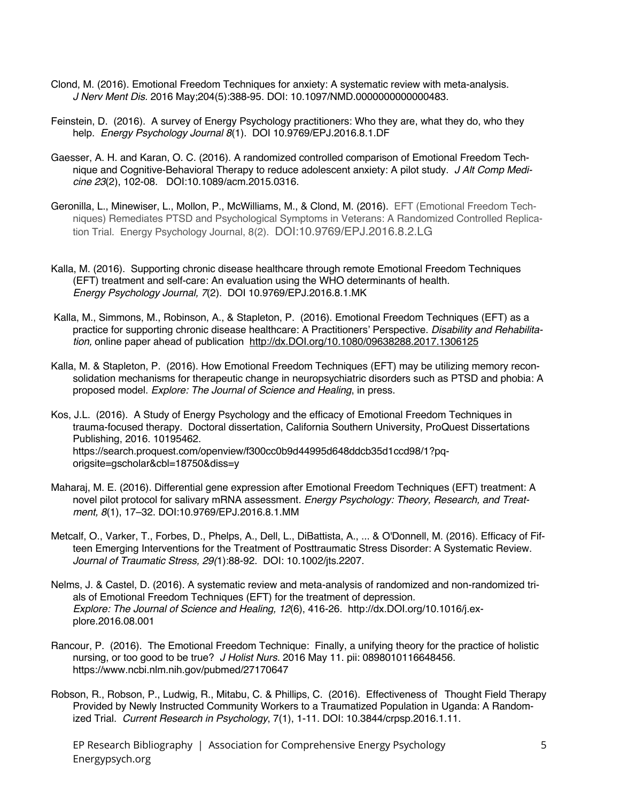- Clond, M. (2016). Emotional Freedom Techniques for anxiety: A systematic review with meta-analysis. *J Nerv Ment Dis.* 2016 May;204(5):388-95. DOI: 10.1097/NMD.0000000000000483.
- Feinstein, D. (2016). A survey of Energy Psychology practitioners: Who they are, what they do, who they help. *Energy Psychology Journal 8*(1). DOI 10.9769/EPJ.2016.8.1.DF
- Gaesser, A. H. and Karan, O. C. (2016). A randomized controlled comparison of Emotional Freedom Technique and Cognitive-Behavioral Therapy to reduce adolescent anxiety: A pilot study. *J Alt Comp Medicine 23*(2), 102-08. DOI:10.1089/acm.2015.0316.
- Geronilla, L., Minewiser, L., Mollon, P., McWilliams, M., & Clond, M. (2016). EFT (Emotional Freedom Techniques) Remediates PTSD and Psychological Symptoms in Veterans: A Randomized Controlled Replication Trial. Energy Psychology Journal, 8(2). DOI:10.9769/EPJ.2016.8.2.LG
- Kalla, M. (2016). Supporting chronic disease healthcare through remote Emotional Freedom Techniques (EFT) treatment and self-care: An evaluation using the WHO determinants of health. *Energy Psychology Journal, 7*(2). DOI 10.9769/EPJ.2016.8.1.MK
- Kalla, M., Simmons, M., Robinson, A., & Stapleton, P. (2016). Emotional Freedom Techniques (EFT) as a practice for supporting chronic disease healthcare: A Practitioners' Perspective. *Disability and Rehabilitation,* online paper ahead of publication http://dx.DOI.org/10.1080/09638288.2017.1306125
- Kalla, M. & Stapleton, P. (2016). How Emotional Freedom Techniques (EFT) may be utilizing memory reconsolidation mechanisms for therapeutic change in neuropsychiatric disorders such as PTSD and phobia: A proposed model. *Explore: The Journal of Science and Healing*, in press.
- Kos, J.L. (2016). A Study of Energy Psychology and the efficacy of Emotional Freedom Techniques in trauma-focused therapy. Doctoral dissertation, California Southern University, ProQuest Dissertations Publishing, 2016. 10195462. https://search.proquest.com/openview/f300cc0b9d44995d648ddcb35d1ccd98/1?pqorigsite=gscholar&cbl=18750&diss=y
- Maharaj, M. E. (2016). Differential gene expression after Emotional Freedom Techniques (EFT) treatment: A novel pilot protocol for salivary mRNA assessment*. Energy Psychology: Theory, Research, and Treatment, 8*(1), 17–32. DOI:10.9769/EPJ.2016.8.1.MM
- Metcalf, O., Varker, T., Forbes, D., Phelps, A., Dell, L., DiBattista, A., ... & O'Donnell, M. (2016). Efficacy of Fifteen Emerging Interventions for the Treatment of Posttraumatic Stress Disorder: A Systematic Review. *Journal of Traumatic Stress, 29(*1):88-92. DOI: 10.1002/jts.2207.
- Nelms, J. & Castel, D. (2016). A systematic review and meta-analysis of randomized and non-randomized trials of Emotional Freedom Techniques (EFT) for the treatment of depression. *Explore: The Journal of Science and Healing, 12*(6), 416-26. http://dx.DOI.org/10.1016/j.explore.2016.08.001
- Rancour, P. (2016). The Emotional Freedom Technique: Finally, a unifying theory for the practice of holistic nursing, or too good to be true? *J Holist Nurs.* 2016 May 11. pii: 0898010116648456. https://www.ncbi.nlm.nih.gov/pubmed/27170647
- Robson, R., Robson, P., Ludwig, R., Mitabu, C. & Phillips, C. (2016). Effectiveness of Thought Field Therapy Provided by Newly Instructed Community Workers to a Traumatized Population in Uganda: A Randomized Trial. *Current Research in Psychology*, 7(1), 1-11. DOI: 10.3844/crpsp.2016.1.11.

EP Research Bibliography | Association for Comprehensive Energy Psychology Energypsych.org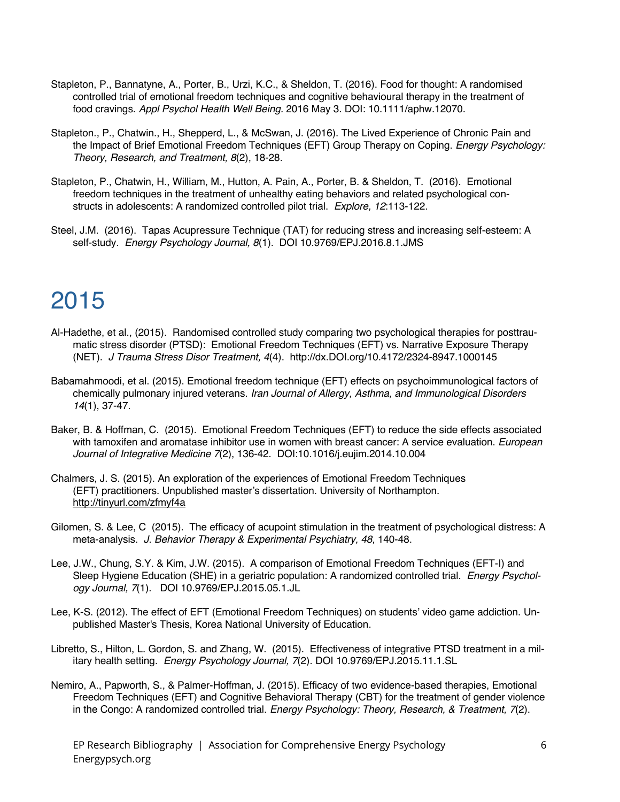- Stapleton, P., Bannatyne, A., Porter, B., Urzi, K.C., & Sheldon, T. (2016). Food for thought: A randomised controlled trial of emotional freedom techniques and cognitive behavioural therapy in the treatment of food cravings. *Appl Psychol Health Well Being.* 2016 May 3. DOI: 10.1111/aphw.12070.
- Stapleton., P., Chatwin., H., Shepperd, L., & McSwan, J. (2016). The Lived Experience of Chronic Pain and the Impact of Brief Emotional Freedom Techniques (EFT) Group Therapy on Coping. *Energy Psychology: Theory, Research, and Treatment, 8*(2), 18-28.
- Stapleton, P., Chatwin, H., William, M., Hutton, A. Pain, A., Porter, B. & Sheldon, T. (2016). Emotional freedom techniques in the treatment of unhealthy eating behaviors and related psychological constructs in adolescents: A randomized controlled pilot trial. *Explore, 12*:113-122.
- Steel, J.M. (2016). Tapas Acupressure Technique (TAT) for reducing stress and increasing self-esteem: A self-study. *Energy Psychology Journal, 8*(1). DOI 10.9769/EPJ.2016.8.1.JMS

- Al-Hadethe, et al., (2015). Randomised controlled study comparing two psychological therapies for posttraumatic stress disorder (PTSD): Emotional Freedom Techniques (EFT) vs. Narrative Exposure Therapy (NET). *J Trauma Stress Disor Treatment, 4*(4). http://dx.DOI.org/10.4172/2324-8947.1000145
- Babamahmoodi, et al. (2015). Emotional freedom technique (EFT) effects on psychoimmunological factors of chemically pulmonary injured veterans. *Iran Journal of Allergy, Asthma, and Immunological Disorders 14*(1), 37-47.
- Baker, B. & Hoffman, C. (2015). Emotional Freedom Techniques (EFT) to reduce the side effects associated with tamoxifen and aromatase inhibitor use in women with breast cancer: A service evaluation. *European Journal of Integrative Medicine 7*(2), 136-42. DOI:10.1016/j.eujim.2014.10.004
- Chalmers, J. S. (2015). An exploration of the experiences of Emotional Freedom Techniques (EFT) practitioners. Unpublished master's dissertation. University of Northampton. http://tinyurl.com/zfmyf4a
- Gilomen, S. & Lee, C (2015). The efficacy of acupoint stimulation in the treatment of psychological distress: A meta-analysis. *J. Behavior Therapy & Experimental Psychiatry, 48,* 140-48.
- Lee, J.W., Chung, S.Y. & Kim, J.W. (2015). A comparison of Emotional Freedom Techniques (EFT-I) and Sleep Hygiene Education (SHE) in a geriatric population: A randomized controlled trial. *Energy Psychology Journal, 7*(1). DOI 10.9769/EPJ.2015.05.1.JL
- Lee, K-S. (2012). The effect of EFT (Emotional Freedom Techniques) on students' video game addiction. Unpublished Master's Thesis, Korea National University of Education.
- Libretto, S., Hilton, L. Gordon, S. and Zhang, W. (2015). Effectiveness of integrative PTSD treatment in a military health setting. *Energy Psychology Journal, 7*(2). DOI 10.9769/EPJ.2015.11.1.SL
- Nemiro, A., Papworth, S., & Palmer-Hoffman, J. (2015). Efficacy of two evidence-based therapies, Emotional Freedom Techniques (EFT) and Cognitive Behavioral Therapy (CBT) for the treatment of gender violence in the Congo: A randomized controlled trial. *Energy Psychology: Theory, Research, & Treatment, 7*(2).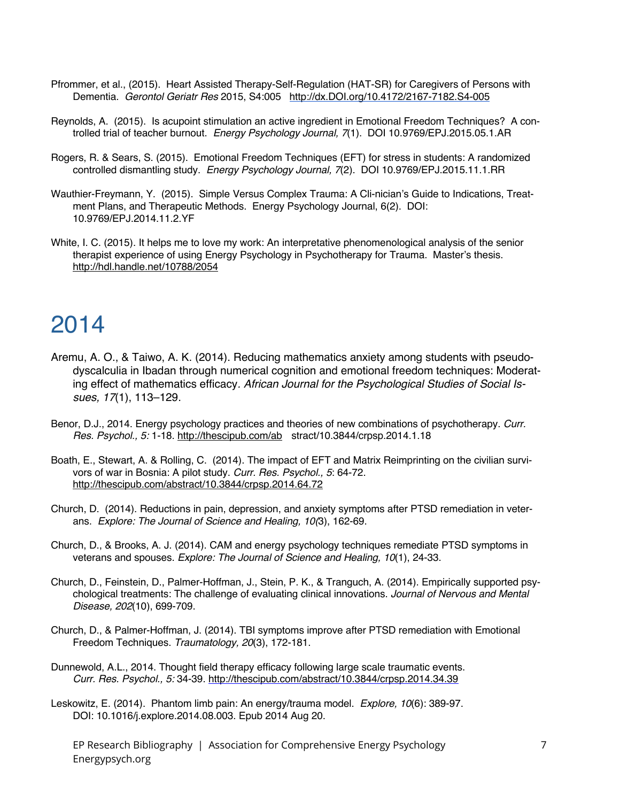- Pfrommer, et al., (2015). Heart Assisted Therapy-Self-Regulation (HAT-SR) for Caregivers of Persons with Dementia. *Gerontol Geriatr Res* 2015, S4:005 http://dx.DOI.org/10.4172/2167-7182.S4-005
- Reynolds, A. (2015). Is acupoint stimulation an active ingredient in Emotional Freedom Techniques? A controlled trial of teacher burnout. *Energy Psychology Journal, 7*(1). DOI 10.9769/EPJ.2015.05.1.AR
- Rogers, R. & Sears, S. (2015). Emotional Freedom Techniques (EFT) for stress in students: A randomized controlled dismantling study. *Energy Psychology Journal, 7*(2). DOI 10.9769/EPJ.2015.11.1.RR
- Wauthier-Freymann, Y. (2015). Simple Versus Complex Trauma: A Cli-nician's Guide to Indications, Treatment Plans, and Therapeutic Methods. Energy Psychology Journal, 6(2). DOI: 10.9769/EPJ.2014.11.2.YF
- White, I. C. (2015). It helps me to love my work: An interpretative phenomenological analysis of the senior therapist experience of using Energy Psychology in Psychotherapy for Trauma. Master's thesis. http://hdl.handle.net/10788/2054

- Aremu, A. O., & Taiwo, A. K. (2014). Reducing mathematics anxiety among students with pseudodyscalculia in Ibadan through numerical cognition and emotional freedom techniques: Moderating effect of mathematics efficacy*. African Journal for the Psychological Studies of Social Issues, 17*(1), 113–129.
- Benor, D.J., 2014. Energy psychology practices and theories of new combinations of psychotherapy. *Curr. Res. Psychol., 5:* 1-18. http://thescipub.com/ab stract/10.3844/crpsp.2014.1.18
- Boath, E., Stewart, A. & Rolling, C. (2014). The impact of EFT and Matrix Reimprinting on the civilian survivors of war in Bosnia: A pilot study. *Curr. Res. Psychol., 5*: 64-72. http://thescipub.com/abstract/10.3844/crpsp.2014.64.72
- Church, D. (2014). Reductions in pain, depression, and anxiety symptoms after PTSD remediation in veterans. *Explore: The Journal of Science and Healing, 10(*3), 162-69.
- Church, D., & Brooks, A. J. (2014). CAM and energy psychology techniques remediate PTSD symptoms in veterans and spouses. *Explore: The Journal of Science and Healing, 10*(1), 24-33.
- Church, D., Feinstein, D., Palmer-Hoffman, J., Stein, P. K., & Tranguch, A. (2014). Empirically supported psychological treatments: The challenge of evaluating clinical innovations. *Journal of Nervous and Mental Disease, 202*(10), 699-709.
- Church, D., & Palmer-Hoffman, J. (2014). TBI symptoms improve after PTSD remediation with Emotional Freedom Techniques. *Traumatology, 20*(3), 172-181.
- Dunnewold, A.L., 2014. Thought field therapy efficacy following large scale traumatic events. *Curr. Res. Psychol., 5:* 34-39. http://thescipub.com/abstract/10.3844/crpsp.2014.34.39
- Leskowitz, E. (2014). Phantom limb pain: An energy/trauma model. *Explore, 10*(6): 389-97. DOI: 10.1016/j.explore.2014.08.003. Epub 2014 Aug 20.
	- EP Research Bibliography | Association for Comprehensive Energy Psychology Energypsych.org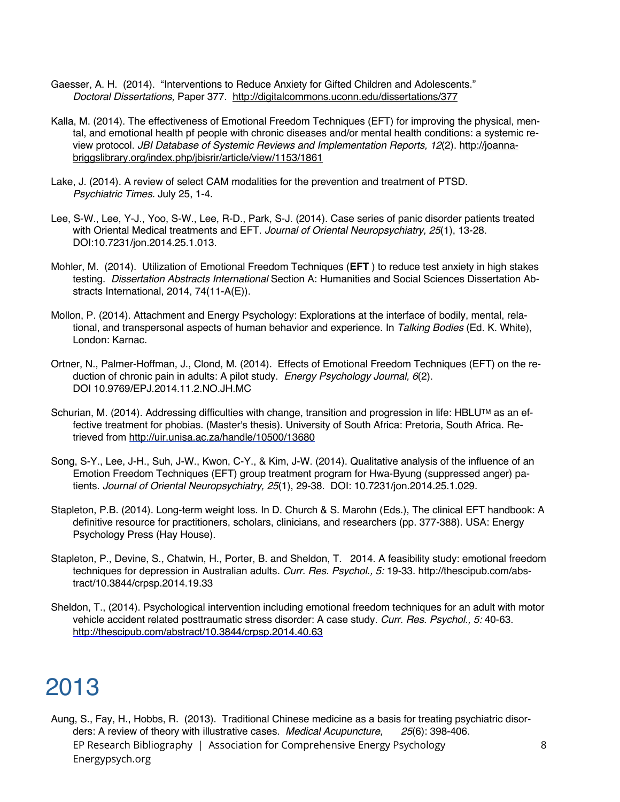- Gaesser, A. H. (2014). "Interventions to Reduce Anxiety for Gifted Children and Adolescents." *Doctoral Dissertations,* Paper 377. http://digitalcommons.uconn.edu/dissertations/377
- Kalla, M. (2014). The effectiveness of Emotional Freedom Techniques (EFT) for improving the physical, mental, and emotional health pf people with chronic diseases and/or mental health conditions: a systemic review protocol. *JBI Database of Systemic Reviews and Implementation Reports, 12*(2). http://joannabriggslibrary.org/index.php/jbisrir/article/view/1153/1861
- Lake, J. (2014). A review of select CAM modalities for the prevention and treatment of PTSD. *Psychiatric Times.* July 25, 1-4.
- Lee, S-W., Lee, Y-J., Yoo, S-W., Lee, R-D., Park, S-J. (2014). Case series of panic disorder patients treated with Oriental Medical treatments and EFT. *Journal of Oriental Neuropsychiatry, 25*(1), 13-28. DOI:10.7231/jon.2014.25.1.013.
- Mohler, M. (2014). Utilization of Emotional Freedom Techniques (**EFT** ) to reduce test anxiety in high stakes testing. *Dissertation Abstracts International* Section A: Humanities and Social Sciences Dissertation Abstracts International, 2014, 74(11-A(E)).
- Mollon, P. (2014). Attachment and Energy Psychology: Explorations at the interface of bodily, mental, relational, and transpersonal aspects of human behavior and experience. In *Talking Bodies* (Ed. K. White), London: Karnac.
- Ortner, N., Palmer-Hoffman, J., Clond, M. (2014). Effects of Emotional Freedom Techniques (EFT) on the reduction of chronic pain in adults: A pilot study. *Energy Psychology Journal, 6*(2). DOI 10.9769/EPJ.2014.11.2.NO.JH.MC
- Schurian, M. (2014). Addressing difficulties with change, transition and progression in life: HBLU™ as an effective treatment for phobias. (Master's thesis). University of South Africa: Pretoria, South Africa. Retrieved from http://uir.unisa.ac.za/handle/10500/13680
- Song, S-Y., Lee, J-H., Suh, J-W., Kwon, C-Y., & Kim, J-W. (2014). Qualitative analysis of the influence of an Emotion Freedom Techniques (EFT) group treatment program for Hwa-Byung (suppressed anger) patients. *Journal of Oriental Neuropsychiatry, 25*(1), 29-38. DOI: 10.7231/jon.2014.25.1.029.
- Stapleton, P.B. (2014). Long-term weight loss. In D. Church & S. Marohn (Eds.), The clinical EFT handbook: A definitive resource for practitioners, scholars, clinicians, and researchers (pp. 377-388). USA: Energy Psychology Press (Hay House).
- Stapleton, P., Devine, S., Chatwin, H., Porter, B. and Sheldon, T. 2014. A feasibility study: emotional freedom techniques for depression in Australian adults*. Curr. Res. Psychol., 5:* 19-33. http://thescipub.com/abstract/10.3844/crpsp.2014.19.33
- Sheldon, T., (2014). Psychological intervention including emotional freedom techniques for an adult with motor vehicle accident related posttraumatic stress disorder: A case study. *Curr. Res. Psychol., 5:* 40-63. http://thescipub.com/abstract/10.3844/crpsp.2014.40.63

EP Research Bibliography | Association for Comprehensive Energy Psychology Energypsych.org Aung, S., Fay, H., Hobbs, R. (2013). Traditional Chinese medicine as a basis for treating psychiatric disorders: A review of theory with illustrative cases. *Medical Acupuncture, 25*(6): 398-406.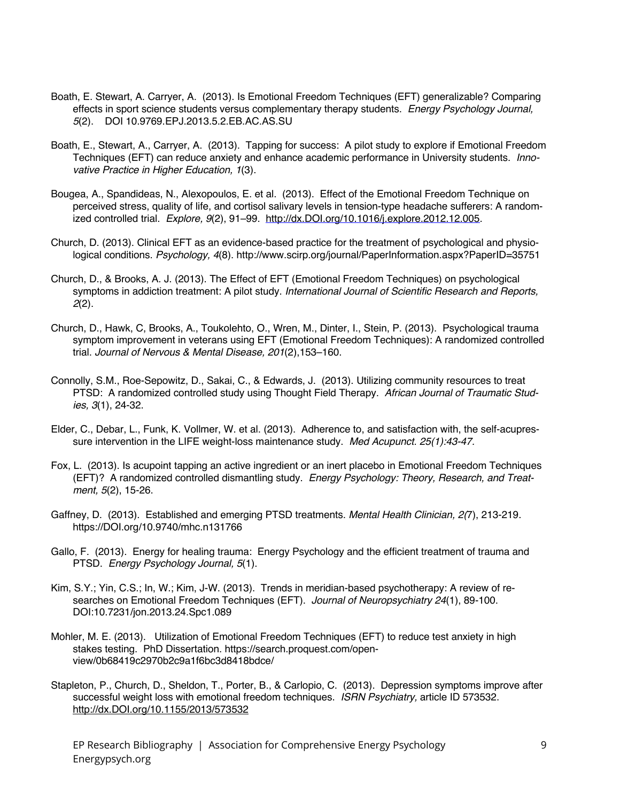- Boath, E. Stewart, A. Carryer, A. (2013). Is Emotional Freedom Techniques (EFT) generalizable? Comparing effects in sport science students versus complementary therapy students. *Energy Psychology Journal, 5*(2). DOI 10.9769.EPJ.2013.5.2.EB.AC.AS.SU
- Boath, E., Stewart, A., Carryer, A. (2013). Tapping for success: A pilot study to explore if Emotional Freedom Techniques (EFT) can reduce anxiety and enhance academic performance in University students. *Innovative Practice in Higher Education, 1*(3).
- Bougea, A., Spandideas, N., Alexopoulos, E. et al. (2013). Effect of the Emotional Freedom Technique on perceived stress, quality of life, and cortisol salivary levels in tension-type headache sufferers: A randomized controlled trial. *Explore, 9*(2), 91–99. http://dx.DOI.org/10.1016/j.explore.2012.12.005.
- Church, D. (2013). Clinical EFT as an evidence-based practice for the treatment of psychological and physiological conditions. *Psychology, 4*(8). http://www.scirp.org/journal/PaperInformation.aspx?PaperID=35751
- Church, D., & Brooks, A. J. (2013). The Effect of EFT (Emotional Freedom Techniques) on psychological symptoms in addiction treatment: A pilot study. *International Journal of Scientific Research and Reports, 2*(2).
- Church, D., Hawk, C, Brooks, A., Toukolehto, O., Wren, M., Dinter, I., Stein, P. (2013). Psychological trauma symptom improvement in veterans using EFT (Emotional Freedom Techniques): A randomized controlled trial. *Journal of Nervous & Mental Disease, 201*(2),153–160.
- Connolly, S.M., Roe-Sepowitz, D., Sakai, C., & Edwards, J. (2013). Utilizing community resources to treat PTSD: A randomized controlled study using Thought Field Therapy. *African Journal of Traumatic Studies, 3*(1), 24-32.
- Elder, C., Debar, L., Funk, K. Vollmer, W. et al. (2013). Adherence to, and satisfaction with, the self-acupressure intervention in the LIFE weight-loss maintenance study. *Med Acupunct. 25(1):43-47.*
- Fox, L. (2013). Is acupoint tapping an active ingredient or an inert placebo in Emotional Freedom Techniques (EFT)? A randomized controlled dismantling study. *Energy Psychology: Theory, Research, and Treatment, 5*(2), 15-26.
- Gaffney, D. (2013). Established and emerging PTSD treatments. *Mental Health Clinician, 2(*7), 213-219. https://DOI.org/10.9740/mhc.n131766
- Gallo, F. (2013). Energy for healing trauma: Energy Psychology and the efficient treatment of trauma and PTSD. *Energy Psychology Journal, 5*(1).
- Kim, S.Y.; Yin, C.S.; In, W.; Kim, J-W. (2013). Trends in meridian-based psychotherapy: A review of researches on Emotional Freedom Techniques (EFT). *Journal of Neuropsychiatry 24*(1), 89-100. DOI:10.7231/jon.2013.24.Spc1.089
- Mohler, M. E. (2013). Utilization of Emotional Freedom Techniques (EFT) to reduce test anxiety in high stakes testing. PhD Dissertation. https://search.proquest.com/openview/0b68419c2970b2c9a1f6bc3d8418bdce/
- Stapleton, P., Church, D., Sheldon, T., Porter, B., & Carlopio, C. (2013). Depression symptoms improve after successful weight loss with emotional freedom techniques. *ISRN Psychiatry,* article ID 573532. http://dx.DOI.org/10.1155/2013/573532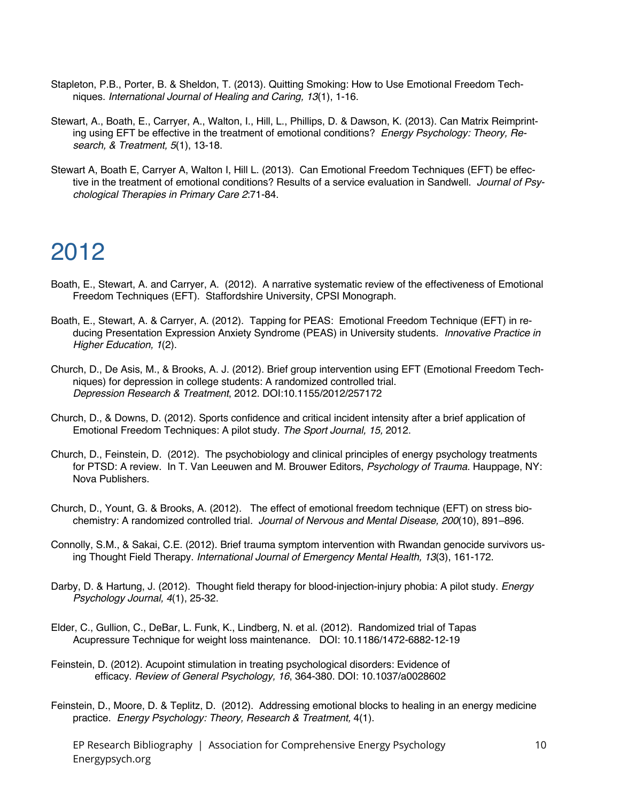- Stapleton, P.B., Porter, B. & Sheldon, T. (2013). Quitting Smoking: How to Use Emotional Freedom Techniques. *International Journal of Healing and Caring, 13*(1), 1-16.
- Stewart, A., Boath, E., Carryer, A., Walton, I., Hill, L., Phillips, D. & Dawson, K. (2013). Can Matrix Reimprinting using EFT be effective in the treatment of emotional conditions? *Energy Psychology: Theory, Research, & Treatment, 5*(1), 13-18.
- Stewart A, Boath E, Carryer A, Walton I, Hill L. (2013). Can Emotional Freedom Techniques (EFT) be effective in the treatment of emotional conditions? Results of a service evaluation in Sandwell. *Journal of Psychological Therapies in Primary Care 2*:71-84.

- Boath, E., Stewart, A. and Carryer, A. (2012). A narrative systematic review of the effectiveness of Emotional Freedom Techniques (EFT). Staffordshire University, CPSI Monograph.
- Boath, E., Stewart, A. & Carryer, A. (2012). Tapping for PEAS: Emotional Freedom Technique (EFT) in reducing Presentation Expression Anxiety Syndrome (PEAS) in University students*. Innovative Practice in Higher Education, 1*(2).
- Church, D., De Asis, M., & Brooks, A. J. (2012). Brief group intervention using EFT (Emotional Freedom Techniques) for depression in college students: A randomized controlled trial. *Depression Research & Treatment*, 2012. DOI:10.1155/2012/257172
- Church, D., & Downs, D. (2012). Sports confidence and critical incident intensity after a brief application of Emotional Freedom Techniques: A pilot study. *The Sport Journal, 15,* 2012.
- Church, D., Feinstein, D. (2012). The psychobiology and clinical principles of energy psychology treatments for PTSD: A review. In T. Van Leeuwen and M. Brouwer Editors, *Psychology of Trauma*. Hauppage, NY: Nova Publishers.
- Church, D., Yount, G. & Brooks, A. (2012). The effect of emotional freedom technique (EFT) on stress biochemistry: A randomized controlled trial*. Journal of Nervous and Mental Disease, 200*(10), 891–896.
- Connolly, S.M., & Sakai, C.E. (2012). Brief trauma symptom intervention with Rwandan genocide survivors using Thought Field Therapy. *International Journal of Emergency Mental Health, 13*(3), 161-172.
- Darby, D. & Hartung, J. (2012). Thought field therapy for blood-injection-injury phobia: A pilot study. *Energy Psychology Journal, 4*(1), 25-32.
- Elder, C., Gullion, C., DeBar, L. Funk, K., Lindberg, N. et al. (2012). Randomized trial of Tapas Acupressure Technique for weight loss maintenance. DOI: 10.1186/1472-6882-12-19
- Feinstein, D. (2012). Acupoint stimulation in treating psychological disorders: Evidence of efficacy. *Review of General Psychology, 16*, 364-380. DOI: 10.1037/a0028602
- Feinstein, D., Moore, D. & Teplitz, D. (2012). Addressing emotional blocks to healing in an energy medicine practice. *Energy Psychology: Theory, Research & Treatment,* 4(1).
	- EP Research Bibliography | Association for Comprehensive Energy Psychology Energypsych.org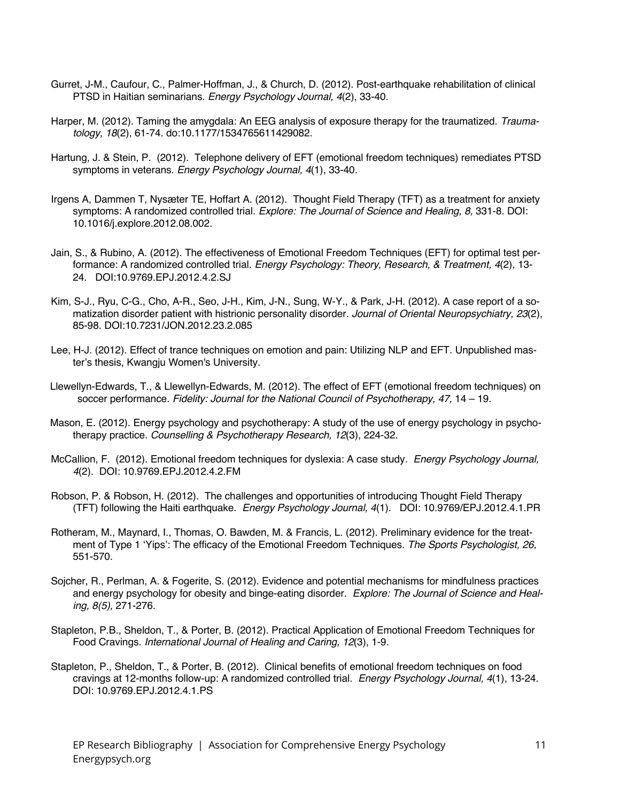- Gurret, J-M., Caufour, C., Palmer-Hoffman, J., & Church, D. (2012). Post-earthquake rehabilitation of clinical PTSD in Haitian seminarians. *Energy Psychology Journal, 4*(2), 33-40.
- Harper, M. (2012). Taming the amygdala: An EEG analysis of exposure therapy for the traumatized. *Traumatology, 18*(2), 61-74. do:10.1177/1534765611429082.
- Hartung, J. & Stein, P. (2012). Telephone delivery of EFT (emotional freedom techniques) remediates PTSD symptoms in veterans. *Energy Psychology Journal, 4*(1), 33-40.
- Irgens A, Dammen T, Nysæter TE, Hoffart A. (2012). Thought Field Therapy (TFT) as a treatment for anxiety symptoms: A randomized controlled trial. *Explore: The Journal of Science and Healing, 8,* 331-8. DOI: 10.1016/j.explore.2012.08.002.
- Jain, S., & Rubino, A. (2012). The effectiveness of Emotional Freedom Techniques (EFT) for optimal test performance: A randomized controlled trial. *Energy Psychology: Theory, Research, & Treatment, 4*(2), 13- 24. DOI:10.9769.EPJ.2012.4.2.SJ
- Kim, S-J., Ryu, C-G., Cho, A-R., Seo, J-H., Kim, J-N., Sung, W-Y., & Park, J-H. (2012). A case report of a somatization disorder patient with histrionic personality disorder. *Journal of Oriental Neuropsychiatry, 23*(2), 85-98. DOI:10.7231/JON.2012.23.2.085
- Lee, H-J. (2012). Effect of trance techniques on emotion and pain: Utilizing NLP and EFT. Unpublished master's thesis, Kwangju Women's University.
- Llewellyn-Edwards, T., & Llewellyn-Edwards, M. (2012). The effect of EFT (emotional freedom techniques) on soccer performance. *Fidelity: Journal for the National Council of Psychotherapy, 47,* 14 – 19.
- Mason, E. (2012). Energy psychology and psychotherapy: A study of the use of energy psychology in psychotherapy practice. *Counselling & Psychotherapy Research, 12*(3), 224-32.
- McCallion, F. (2012). Emotional freedom techniques for dyslexia: A case study*. Energy Psychology Journal, 4*(2). DOI: 10.9769.EPJ.2012.4.2.FM
- Robson, P. & Robson, H. (2012). The challenges and opportunities of introducing Thought Field Therapy (TFT) following the Haiti earthquake. *Energy Psychology Journal, 4*(1). DOI: 10.9769/EPJ.2012.4.1.PR
- Rotheram, M., Maynard, I., Thomas, O. Bawden, M. & Francis, L. (2012). Preliminary evidence for the treatment of Type 1 'Yips': The efficacy of the Emotional Freedom Techniques. *The Sports Psychologist, 26,* 551-570.
- Sojcher, R., Perlman, A. & Fogerite, S. (2012). Evidence and potential mechanisms for mindfulness practices and energy psychology for obesity and binge-eating disorder. *Explore: The Journal of Science and Healing, 8(5),* 271-276.
- Stapleton, P.B., Sheldon, T., & Porter, B. (2012). Practical Application of Emotional Freedom Techniques for Food Cravings. *International Journal of Healing and Caring, 12*(3), 1-9.
- Stapleton, P., Sheldon, T., & Porter, B. (2012). Clinical benefits of emotional freedom techniques on food cravings at 12-months follow-up: A randomized controlled trial. *Energy Psychology Journal, 4*(1), 13-24. DOI: 10.9769.EPJ.2012.4.1.PS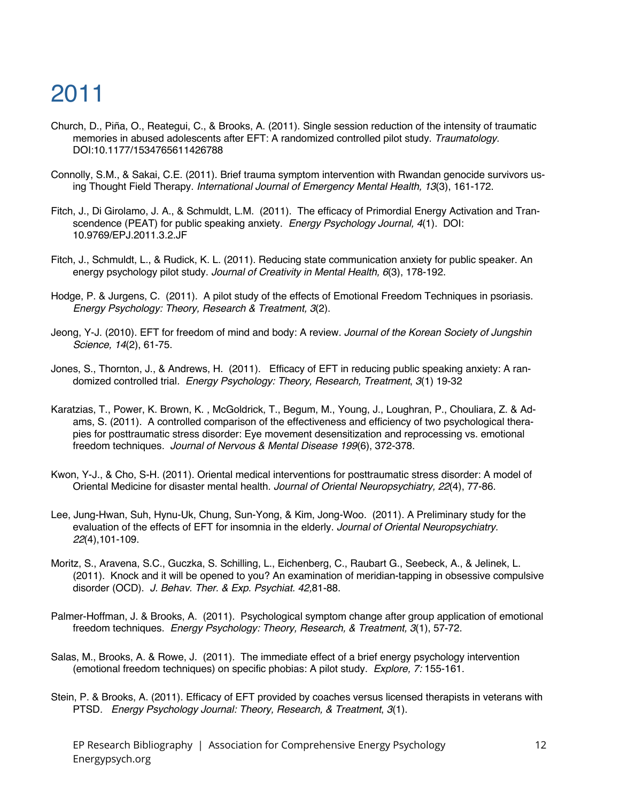- Church, D., Piña, O., Reategui, C., & Brooks, A. (2011). Single session reduction of the intensity of traumatic memories in abused adolescents after EFT: A randomized controlled pilot study. *Traumatology.* DOI:10.1177/1534765611426788
- Connolly, S.M., & Sakai, C.E. (2011). Brief trauma symptom intervention with Rwandan genocide survivors using Thought Field Therapy. *International Journal of Emergency Mental Health, 13*(3), 161-172.
- Fitch, J., Di Girolamo, J. A., & Schmuldt, L.M. (2011). The efficacy of Primordial Energy Activation and Transcendence (PEAT) for public speaking anxiety. *Energy Psychology Journal, 4*(1). DOI: 10.9769/EPJ.2011.3.2.JF
- Fitch, J., Schmuldt, L., & Rudick, K. L. (2011). Reducing state communication anxiety for public speaker. An energy psychology pilot study. *Journal of Creativity in Mental Health, 6*(3), 178-192.
- Hodge, P. & Jurgens, C. (2011). A pilot study of the effects of Emotional Freedom Techniques in psoriasis. *Energy Psychology: Theory, Research & Treatment, 3*(2).
- Jeong, Y-J. (2010). EFT for freedom of mind and body: A review. *Journal of the Korean Society of Jungshin Science, 14*(2), 61-75.
- Jones, S., Thornton, J., & Andrews, H. (2011). Efficacy of EFT in reducing public speaking anxiety: A randomized controlled trial*. Energy Psychology: Theory, Research, Treatment*, *3*(1) 19-32
- Karatzias, T., Power, K. Brown, K. , McGoldrick, T., Begum, M., Young, J., Loughran, P., Chouliara, Z. & Adams, S. (2011). A controlled comparison of the effectiveness and efficiency of two psychological therapies for posttraumatic stress disorder: Eye movement desensitization and reprocessing vs. emotional freedom techniques*. Journal of Nervous & Mental Disease 199*(6), 372-378.
- Kwon, Y-J., & Cho, S-H. (2011). Oriental medical interventions for posttraumatic stress disorder: A model of Oriental Medicine for disaster mental health. *Journal of Oriental Neuropsychiatry, 22*(4), 77-86.
- Lee, Jung-Hwan, Suh, Hynu-Uk, Chung, Sun-Yong, & Kim, Jong-Woo. (2011). A Preliminary study for the evaluation of the effects of EFT for insomnia in the elderly. *Journal of Oriental Neuropsychiatry. 22*(4),101-109.
- Moritz, S., Aravena, S.C., Guczka, S. Schilling, L., Eichenberg, C., Raubart G., Seebeck, A., & Jelinek, L. (2011). Knock and it will be opened to you? An examination of meridian-tapping in obsessive compulsive disorder (OCD). *J. Behav. Ther. & Exp. Psychiat. 42,*81-88.
- Palmer-Hoffman, J. & Brooks, A. (2011). Psychological symptom change after group application of emotional freedom techniques. *Energy Psychology: Theory, Research, & Treatment, 3*(1), 57-72.
- Salas, M., Brooks, A. & Rowe, J. (2011). The immediate effect of a brief energy psychology intervention (emotional freedom techniques) on specific phobias: A pilot study. *Explore, 7:* 155-161.
- Stein, P. & Brooks, A. (2011). Efficacy of EFT provided by coaches versus licensed therapists in veterans with PTSD*. Energy Psychology Journal: Theory, Research, & Treatment*, *3*(1).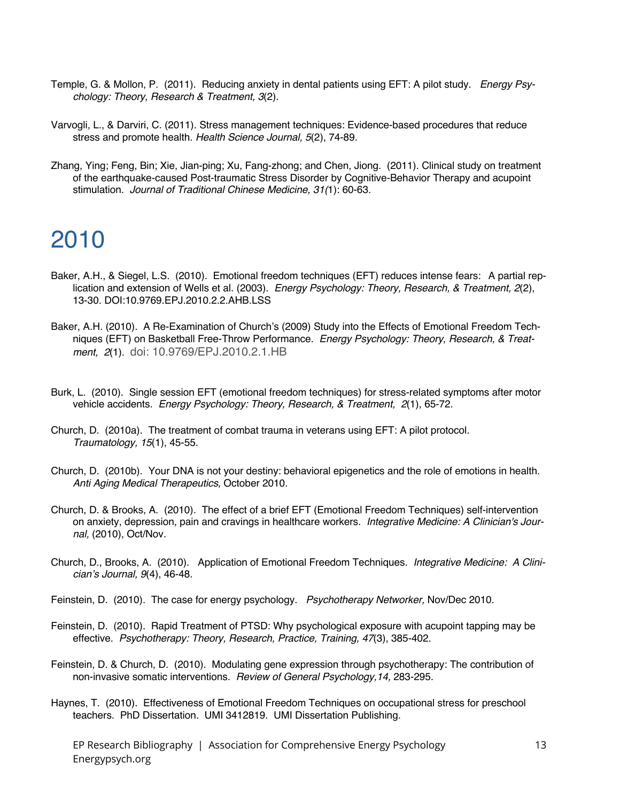- Temple, G. & Mollon, P. (2011). Reducing anxiety in dental patients using EFT: A pilot study. *Energy Psychology: Theory, Research & Treatment, 3*(2).
- Varvogli, L., & Darviri, C. (2011). Stress management techniques: Evidence-based procedures that reduce stress and promote health. *Health Science Journal, 5*(2), 74-89.
- Zhang, Ying; Feng, Bin; Xie, Jian-ping; Xu, Fang-zhong; and Chen, Jiong. (2011). Clinical study on treatment of the earthquake-caused Post-traumatic Stress Disorder by Cognitive-Behavior Therapy and acupoint stimulation. *Journal of Traditional Chinese Medicine, 31(*1): 60-63.

- Baker, A.H., & Siegel, L.S. (2010). Emotional freedom techniques (EFT) reduces intense fears: A partial replication and extension of Wells et al. (2003). *Energy Psychology: Theory, Research, & Treatment, 2*(2), 13-30. DOI:10.9769.EPJ.2010.2.2.AHB.LSS
- Baker, A.H. (2010). A Re-Examination of Church's (2009) Study into the Effects of Emotional Freedom Techniques (EFT) on Basketball Free-Throw Performance. *Energy Psychology: Theory, Research, & Treatment, 2*(1). doi: 10.9769/EPJ.2010.2.1.HB
- Burk, L. (2010). Single session EFT (emotional freedom techniques) for stress-related symptoms after motor vehicle accidents. *Energy Psychology: Theory, Research, & Treatment, 2*(1), 65-72.
- Church, D. (2010a). The treatment of combat trauma in veterans using EFT: A pilot protocol. *Traumatology, 15*(1), 45-55.
- Church, D. (2010b). Your DNA is not your destiny: behavioral epigenetics and the role of emotions in health. *Anti Aging Medical Therapeutics,* October 2010.
- Church, D. & Brooks, A. (2010). The effect of a brief EFT (Emotional Freedom Techniques) self-intervention on anxiety, depression, pain and cravings in healthcare workers. *Integrative Medicine: A Clinician's Journal,* (2010), Oct/Nov.
- Church, D., Brooks, A. (2010). Application of Emotional Freedom Techniques. *Integrative Medicine: A Clinician's Journal, 9*(4), 46-48.
- Feinstein, D. (2010). The case for energy psychology. *Psychotherapy Networker,* Nov/Dec 2010.
- Feinstein, D. (2010). Rapid Treatment of PTSD: Why psychological exposure with acupoint tapping may be effective. *Psychotherapy: Theory, Research, Practice, Training, 47*(3), 385-402.
- Feinstein, D. & Church, D. (2010). Modulating gene expression through psychotherapy: The contribution of non-invasive somatic interventions. *Review of General Psychology,14,* 283-295.
- Haynes, T. (2010). Effectiveness of Emotional Freedom Techniques on occupational stress for preschool teachers. PhD Dissertation. UMI 3412819. UMI Dissertation Publishing.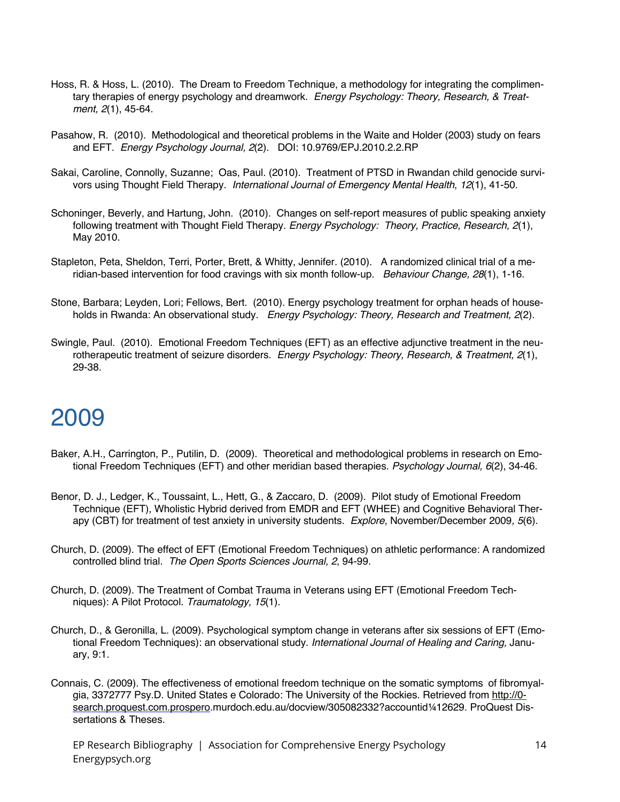- Hoss, R. & Hoss, L. (2010). The Dream to Freedom Technique, a methodology for integrating the complimentary therapies of energy psychology and dreamwork. *Energy Psychology: Theory, Research, & Treatment, 2*(1), 45-64.
- Pasahow, R. (2010). Methodological and theoretical problems in the Waite and Holder (2003) study on fears and EFT. *Energy Psychology Journal, 2*(2). DOI: 10.9769/EPJ.2010.2.2.RP
- Sakai, Caroline, Connolly, Suzanne; Oas, Paul. (2010). Treatment of PTSD in Rwandan child genocide survivors using Thought Field Therapy. *International Journal of Emergency Mental Health*, *12*(1), 41-50.
- Schoninger, Beverly, and Hartung, John. (2010). Changes on self-report measures of public speaking anxiety following treatment with Thought Field Therapy. *Energy Psychology: Theory, Practice, Research, 2*(1), May 2010.
- Stapleton, Peta, Sheldon, Terri, Porter, Brett, & Whitty, Jennifer. (2010). A randomized clinical trial of a meridian-based intervention for food cravings with six month follow-up. *Behaviour Change, 28*(1), 1-16.
- Stone, Barbara; Leyden, Lori; Fellows, Bert. (2010). Energy psychology treatment for orphan heads of households in Rwanda: An observational study. *Energy Psychology: Theory, Research and Treatment, 2*(2).
- Swingle, Paul. (2010). Emotional Freedom Techniques (EFT) as an effective adjunctive treatment in the neurotherapeutic treatment of seizure disorders. *Energy Psychology: Theory, Research, & Treatment, 2*(1), 29-38.

- Baker, A.H., Carrington, P., Putilin, D. (2009). Theoretical and methodological problems in research on Emotional Freedom Techniques (EFT) and other meridian based therapies. *Psychology Journal, 6*(2), 34-46.
- Benor, D. J., Ledger, K., Toussaint, L., Hett, G., & Zaccaro, D. (2009). Pilot study of Emotional Freedom Technique (EFT), Wholistic Hybrid derived from EMDR and EFT (WHEE) and Cognitive Behavioral Therapy (CBT) for treatment of test anxiety in university students. *Explore*, November/December 2009*, 5*(6).
- Church, D. (2009). The effect of EFT (Emotional Freedom Techniques) on athletic performance: A randomized controlled blind trial. *The Open Sports Sciences Journal, 2*, 94-99.
- Church, D. (2009). The Treatment of Combat Trauma in Veterans using EFT (Emotional Freedom Techniques): A Pilot Protocol. *Traumatology, 15*(1).
- Church, D., & Geronilla, L. (2009). Psychological symptom change in veterans after six sessions of EFT (Emotional Freedom Techniques): an observational study. *International Journal of Healing and Caring,* January, 9:1.
- Connais, C. (2009). The effectiveness of emotional freedom technique on the somatic symptoms of fibromyalgia, 3372777 Psy.D. United States e Colorado: The University of the Rockies. Retrieved from http://0 search.proquest.com.prospero.murdoch.edu.au/docview/305082332?accountid¼12629. ProQuest Dissertations & Theses.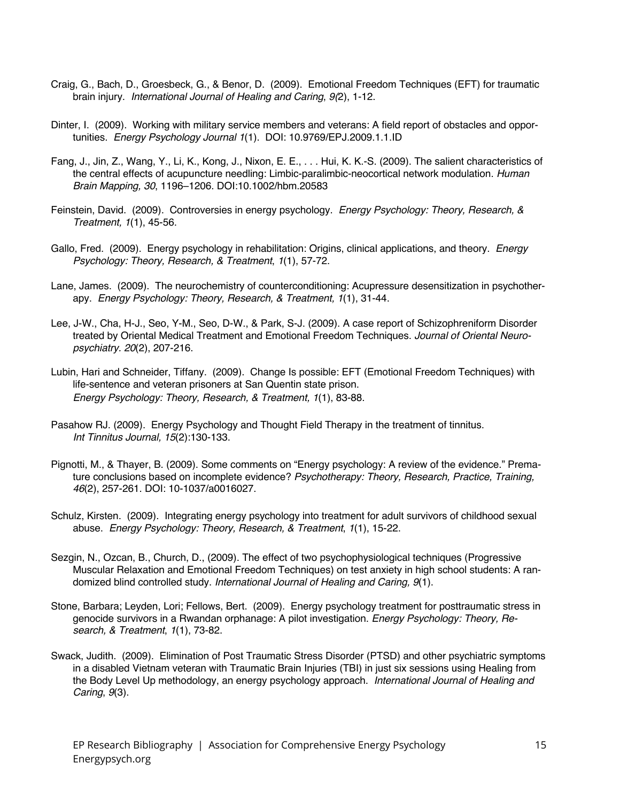- Craig, G., Bach, D., Groesbeck, G., & Benor, D. (2009). Emotional Freedom Techniques (EFT) for traumatic brain injury. *International Journal of Healing and Caring*, *9(*2), 1-12.
- Dinter, I. (2009). Working with military service members and veterans: A field report of obstacles and opportunities. *Energy Psychology Journal 1*(1). DOI: 10.9769/EPJ.2009.1.1.ID
- Fang, J., Jin, Z., Wang, Y., Li, K., Kong, J., Nixon, E. E., . . . Hui, K. K.-S. (2009). The salient characteristics of the central effects of acupuncture needling: Limbic-paralimbic-neocortical network modulation. *Human Brain Mapping, 30*, 1196–1206. DOI:10.1002/hbm.20583
- Feinstein, David. (2009). Controversies in energy psychology. *Energy Psychology: Theory, Research, & Treatment, 1*(1), 45-56.
- Gallo, Fred. (2009). Energy psychology in rehabilitation: Origins, clinical applications, and theory. *Energy Psychology: Theory, Research, & Treatment*, *1*(1), 57-72.
- Lane, James. (2009). The neurochemistry of counterconditioning: Acupressure desensitization in psychotherapy. *Energy Psychology: Theory, Research, & Treatment, 1*(1), 31-44.
- Lee, J-W., Cha, H-J., Seo, Y-M., Seo, D-W., & Park, S-J. (2009). A case report of Schizophreniform Disorder treated by Oriental Medical Treatment and Emotional Freedom Techniques. *Journal of Oriental Neuropsychiatry. 20*(2), 207-216.
- Lubin, Hari and Schneider, Tiffany. (2009). Change Is possible: EFT (Emotional Freedom Techniques) with life-sentence and veteran prisoners at San Quentin state prison. *Energy Psychology: Theory, Research, & Treatment, 1*(1), 83-88.
- Pasahow RJ. (2009). Energy Psychology and Thought Field Therapy in the treatment of tinnitus. *Int Tinnitus Journal, 15*(2):130-133.
- Pignotti, M., & Thayer, B. (2009). Some comments on "Energy psychology: A review of the evidence." Premature conclusions based on incomplete evidence? *Psychotherapy: Theory, Research, Practice, Training, 46*(2), 257-261. DOI: 10-1037/a0016027.
- Schulz, Kirsten. (2009). Integrating energy psychology into treatment for adult survivors of childhood sexual abuse. *Energy Psychology: Theory, Research, & Treatment*, *1*(1), 15-22.
- Sezgin, N., Ozcan, B., Church, D., (2009). The effect of two psychophysiological techniques (Progressive Muscular Relaxation and Emotional Freedom Techniques) on test anxiety in high school students: A randomized blind controlled study. *International Journal of Healing and Caring, 9*(1).
- Stone, Barbara; Leyden, Lori; Fellows, Bert. (2009). Energy psychology treatment for posttraumatic stress in genocide survivors in a Rwandan orphanage: A pilot investigation. *Energy Psychology: Theory, Research, & Treatment*, *1*(1), 73-82.
- Swack, Judith. (2009). Elimination of Post Traumatic Stress Disorder (PTSD) and other psychiatric symptoms in a disabled Vietnam veteran with Traumatic Brain Injuries (TBI) in just six sessions using Healing from the Body Level Up methodology, an energy psychology approach. *International Journal of Healing and Caring*, *9*(3).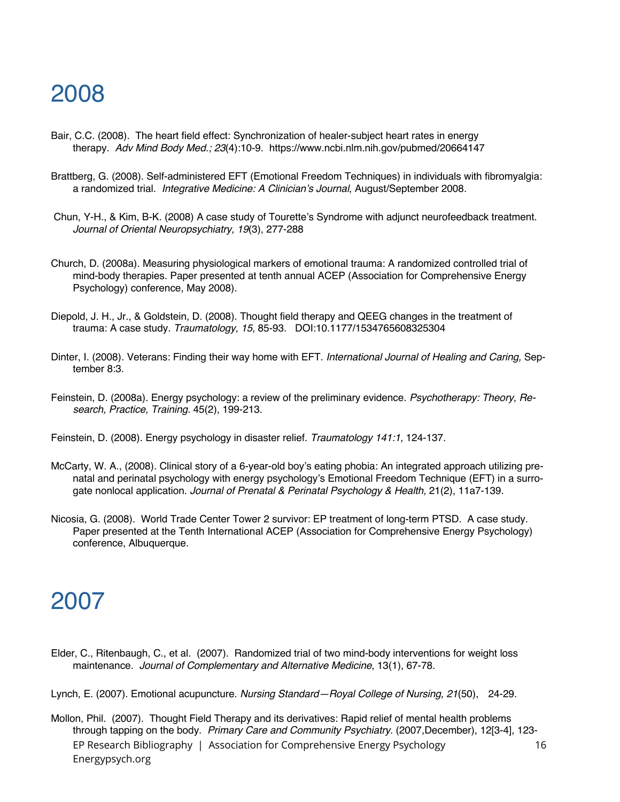- Bair, C.C. (2008). The heart field effect: Synchronization of healer-subject heart rates in energy therapy. *Adv Mind Body Med.; 23*(4):10-9. https://www.ncbi.nlm.nih.gov/pubmed/20664147
- Brattberg, G. (2008). Self-administered EFT (Emotional Freedom Techniques) in individuals with fibromyalgia: a randomized trial. *Integrative Medicine: A Clinician's Journal*, August/September 2008.
- Chun, Y-H., & Kim, B-K. (2008) A case study of Tourette's Syndrome with adjunct neurofeedback treatment. *Journal of Oriental Neuropsychiatry, 19*(3), 277-288
- Church, D. (2008a). Measuring physiological markers of emotional trauma: A randomized controlled trial of mind-body therapies. Paper presented at tenth annual ACEP (Association for Comprehensive Energy Psychology) conference, May 2008).
- Diepold, J. H., Jr., & Goldstein, D. (2008). Thought field therapy and QEEG changes in the treatment of trauma: A case study. *Traumatology, 15*, 85-93. DOI:10.1177/1534765608325304
- Dinter, I. (2008). Veterans: Finding their way home with EFT. *International Journal of Healing and Caring,* September 8:3.
- Feinstein, D. (2008a). Energy psychology: a review of the preliminary evidence. *Psychotherapy: Theory, Research, Practice, Training.* 45(2), 199-213.
- Feinstein, D. (2008). Energy psychology in disaster relief. *Traumatology 141:1,* 124-137.
- McCarty, W. A., (2008). Clinical story of a 6-year-old boy's eating phobia: An integrated approach utilizing prenatal and perinatal psychology with energy psychology's Emotional Freedom Technique (EFT) in a surrogate nonlocal application. *Journal of Prenatal & Perinatal Psychology & Health,* 21(2), 11a7-139.
- Nicosia, G. (2008). World Trade Center Tower 2 survivor: EP treatment of long-term PTSD. A case study. Paper presented at the Tenth International ACEP (Association for Comprehensive Energy Psychology) conference, Albuquerque.

#### 2007

Elder, C., Ritenbaugh, C., et al. (2007). Randomized trial of two mind-body interventions for weight loss maintenance. *Journal of Complementary and Alternative Medicine*, 13(1), 67-78.

Lynch, E. (2007). Emotional acupuncture. *Nursing Standard—Royal College of Nursing, 21*(50), 24-29.

EP Research Bibliography | Association for Comprehensive Energy Psychology Energypsych.org 16 Mollon, Phil. (2007). Thought Field Therapy and its derivatives: Rapid relief of mental health problems through tapping on the body. *Primary Care and Community Psychiatry*. (2007,December), 12[3-4], 123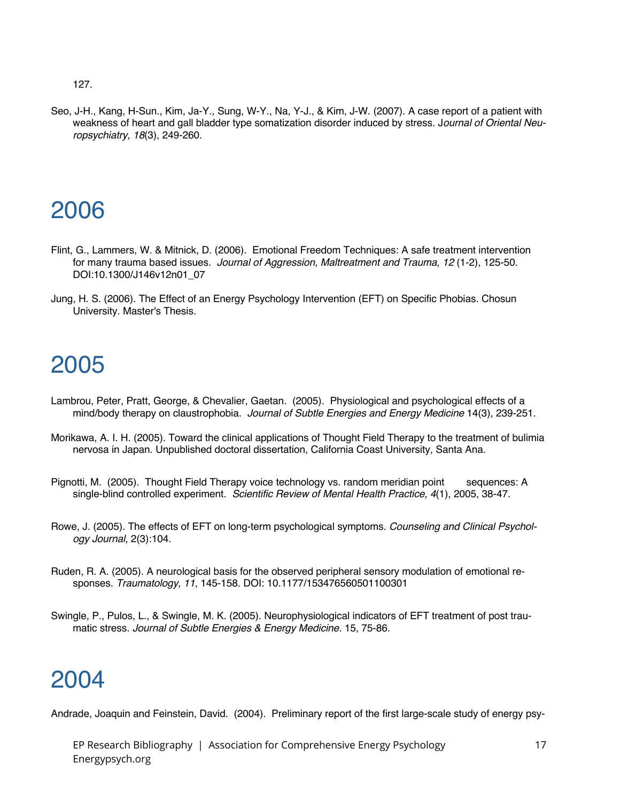127.

Seo, J-H., Kang, H-Sun., Kim, Ja-Y., Sung, W-Y., Na, Y-J., & Kim, J-W. (2007). A case report of a patient with weakness of heart and gall bladder type somatization disorder induced by stress. J*ournal of Oriental Neuropsychiatry, 18*(3), 249-260.

# 2006

- Flint, G., Lammers, W. & Mitnick, D. (2006). Emotional Freedom Techniques: A safe treatment intervention for many trauma based issues. *Journal of Aggression, Maltreatment and Trauma, 12* (1-2), 125-50. DOI:10.1300/J146v12n01\_07
- Jung, H. S. (2006). The Effect of an Energy Psychology Intervention (EFT) on Specific Phobias. Chosun University. Master's Thesis.

### 2005

- Lambrou, Peter, Pratt, George, & Chevalier, Gaetan. (2005). Physiological and psychological effects of a mind/body therapy on claustrophobia. *Journal of Subtle Energies and Energy Medicine* 14(3), 239-251.
- Morikawa, A. I. H. (2005). Toward the clinical applications of Thought Field Therapy to the treatment of bulimia nervosa in Japan. Unpublished doctoral dissertation, California Coast University, Santa Ana.
- Pignotti, M. (2005). Thought Field Therapy voice technology vs. random meridian point sequences: A single-blind controlled experiment. *Scientific Review of Mental Health Practice, 4*(1), 2005, 38-47.
- Rowe, J. (2005). The effects of EFT on long-term psychological symptoms. *Counseling and Clinical Psychology Journal*, 2(3):104.
- Ruden, R. A. (2005). A neurological basis for the observed peripheral sensory modulation of emotional responses. *Traumatology*, *11*, 145-158. DOI: 10.1177/153476560501100301
- Swingle, P., Pulos, L., & Swingle, M. K. (2005). Neurophysiological indicators of EFT treatment of post traumatic stress. *Journal of Subtle Energies & Energy Medicine.* 15, 75-86.

### 2004

Andrade, Joaquin and Feinstein, David. (2004). Preliminary report of the first large-scale study of energy psy-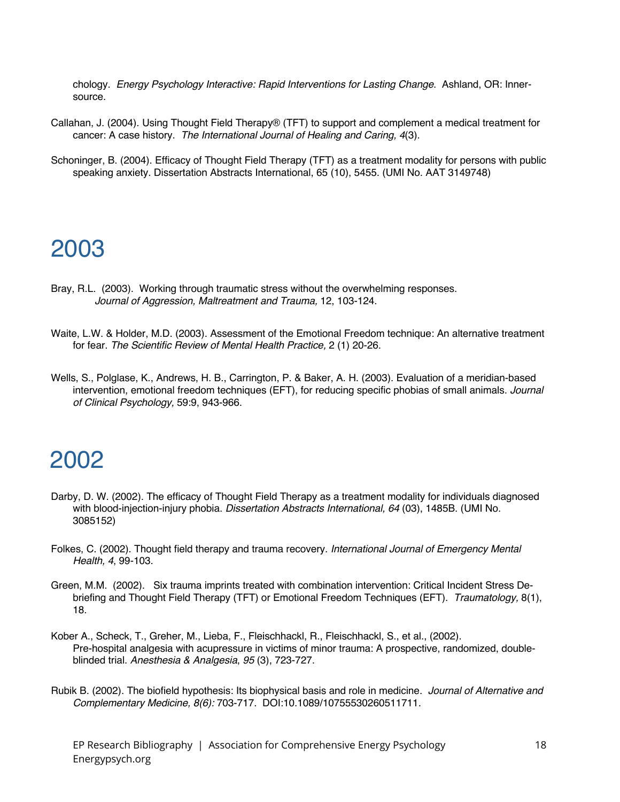chology. *Energy Psychology Interactive: Rapid Interventions for Lasting Change*. Ashland, OR: Innersource.

- Callahan, J. (2004). Using Thought Field Therapy® (TFT) to support and complement a medical treatment for cancer: A case history. *The International Journal of Healing and Caring, 4*(3).
- Schoninger, B. (2004). Efficacy of Thought Field Therapy (TFT) as a treatment modality for persons with public speaking anxiety. Dissertation Abstracts International, 65 (10), 5455. (UMI No. AAT 3149748)

#### 2003

- Bray, R.L. (2003). Working through traumatic stress without the overwhelming responses. *Journal of Aggression, Maltreatment and Trauma,* 12, 103-124.
- Waite, L.W. & Holder, M.D. (2003). Assessment of the Emotional Freedom technique: An alternative treatment for fear. *The Scientific Review of Mental Health Practice,* 2 (1) 20-26.
- Wells, S., Polglase, K., Andrews, H. B., Carrington, P. & Baker, A. H. (2003). Evaluation of a meridian-based intervention, emotional freedom techniques (EFT), for reducing specific phobias of small animals. *Journal of Clinical Psychology,* 59:9, 943-966.

- Darby, D. W. (2002). The efficacy of Thought Field Therapy as a treatment modality for individuals diagnosed with blood-injection-injury phobia. *Dissertation Abstracts International, 64* (03), 1485B. (UMI No. 3085152)
- Folkes, C. (2002). Thought field therapy and trauma recovery. *International Journal of Emergency Mental Health, 4*, 99-103.
- Green, M.M. (2002). Six trauma imprints treated with combination intervention: Critical Incident Stress Debriefing and Thought Field Therapy (TFT) or Emotional Freedom Techniques (EFT). *Traumatology,* 8(1), 18.
- Kober A., Scheck, T., Greher, M., Lieba, F., Fleischhackl, R., Fleischhackl, S., et al., (2002). Pre-hospital analgesia with acupressure in victims of minor trauma: A prospective, randomized, doubleblinded trial. *Anesthesia & Analgesia*, *95* (3), 723-727.
- Rubik B. (2002). The biofield hypothesis: Its biophysical basis and role in medicine. *Journal of Alternative and Complementary Medicine, 8(6):* 703-717. DOI:10.1089/10755530260511711.